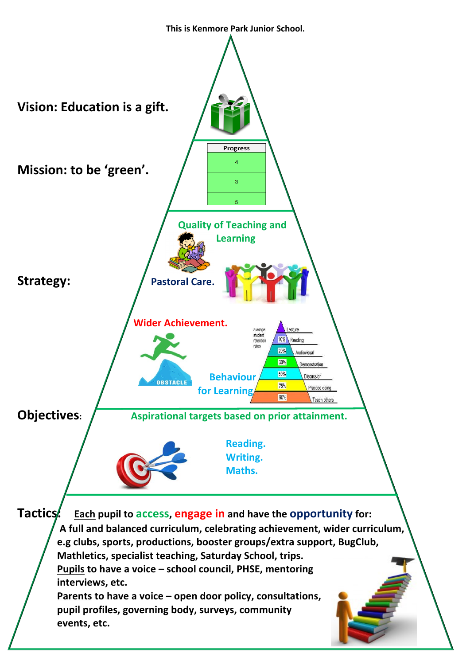